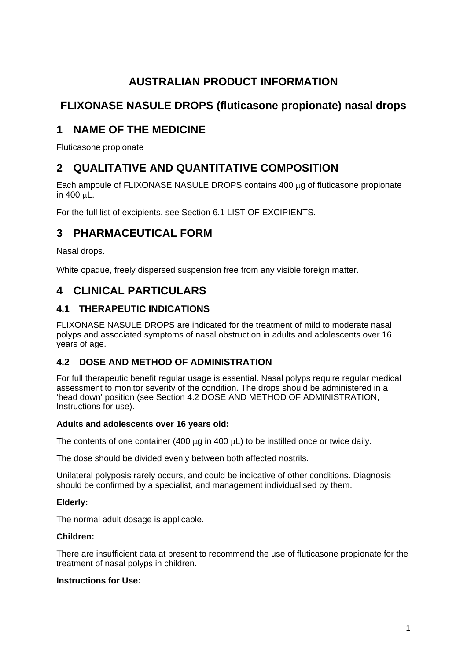# **AUSTRALIAN PRODUCT INFORMATION**

# **FLIXONASE NASULE DROPS (fluticasone propionate) nasal drops**

# **1 NAME OF THE MEDICINE**

Fluticasone propionate

# **2 QUALITATIVE AND QUANTITATIVE COMPOSITION**

Each ampoule of FLIXONASE NASULE DROPS contains 400 µg of fluticasone propionate in 400 µL.

For the full list of excipients, see Section 6.1 LIST OF EXCIPIENTS.

# **3 PHARMACEUTICAL FORM**

Nasal drops.

White opaque, freely dispersed suspension free from any visible foreign matter.

# **4 CLINICAL PARTICULARS**

### **4.1 THERAPEUTIC INDICATIONS**

FLIXONASE NASULE DROPS are indicated for the treatment of mild to moderate nasal polyps and associated symptoms of nasal obstruction in adults and adolescents over 16 years of age.

### **4.2 DOSE AND METHOD OF ADMINISTRATION**

For full therapeutic benefit regular usage is essential. Nasal polyps require regular medical assessment to monitor severity of the condition. The drops should be administered in a 'head down' position (see Section 4.2 DOSE AND METHOD OF ADMINISTRATION, Instructions for use).

#### **Adults and adolescents over 16 years old:**

The contents of one container (400  $\mu$ g in 400  $\mu$ L) to be instilled once or twice daily.

The dose should be divided evenly between both affected nostrils.

Unilateral polyposis rarely occurs, and could be indicative of other conditions. Diagnosis should be confirmed by a specialist, and management individualised by them.

#### **Elderly:**

The normal adult dosage is applicable.

#### **Children:**

There are insufficient data at present to recommend the use of fluticasone propionate for the treatment of nasal polyps in children.

#### **Instructions for Use:**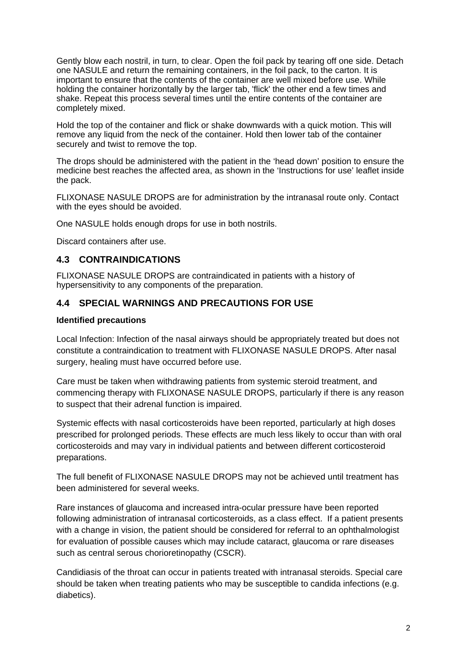Gently blow each nostril, in turn, to clear. Open the foil pack by tearing off one side. Detach one NASULE and return the remaining containers, in the foil pack, to the carton. It is important to ensure that the contents of the container are well mixed before use. While holding the container horizontally by the larger tab, 'flick' the other end a few times and shake. Repeat this process several times until the entire contents of the container are completely mixed.

Hold the top of the container and flick or shake downwards with a quick motion. This will remove any liquid from the neck of the container. Hold then lower tab of the container securely and twist to remove the top.

The drops should be administered with the patient in the 'head down' position to ensure the medicine best reaches the affected area, as shown in the 'Instructions for use' leaflet inside the pack.

FLIXONASE NASULE DROPS are for administration by the intranasal route only. Contact with the eyes should be avoided.

One NASULE holds enough drops for use in both nostrils.

Discard containers after use.

#### **4.3 CONTRAINDICATIONS**

FLIXONASE NASULE DROPS are contraindicated in patients with a history of hypersensitivity to any components of the preparation.

#### **4.4 SPECIAL WARNINGS AND PRECAUTIONS FOR USE**

#### **Identified precautions**

Local Infection: Infection of the nasal airways should be appropriately treated but does not constitute a contraindication to treatment with FLIXONASE NASULE DROPS. After nasal surgery, healing must have occurred before use.

Care must be taken when withdrawing patients from systemic steroid treatment, and commencing therapy with FLIXONASE NASULE DROPS, particularly if there is any reason to suspect that their adrenal function is impaired.

Systemic effects with nasal corticosteroids have been reported, particularly at high doses prescribed for prolonged periods. These effects are much less likely to occur than with oral corticosteroids and may vary in individual patients and between different corticosteroid preparations.

The full benefit of FLIXONASE NASULE DROPS may not be achieved until treatment has been administered for several weeks.

Rare instances of glaucoma and increased intra-ocular pressure have been reported following administration of intranasal corticosteroids, as a class effect. If a patient presents with a change in vision, the patient should be considered for referral to an ophthalmologist for evaluation of possible causes which may include cataract, glaucoma or rare diseases such as central serous chorioretinopathy (CSCR).

Candidiasis of the throat can occur in patients treated with intranasal steroids. Special care should be taken when treating patients who may be susceptible to candida infections (e.g. diabetics).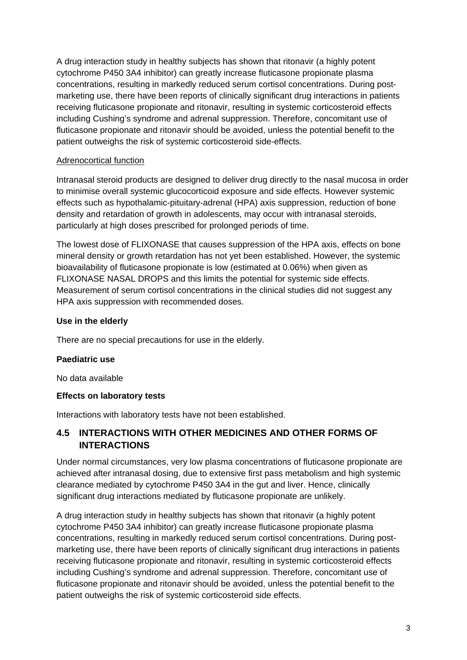A drug interaction study in healthy subjects has shown that ritonavir (a highly potent cytochrome P450 3A4 inhibitor) can greatly increase fluticasone propionate plasma concentrations, resulting in markedly reduced serum cortisol concentrations. During postmarketing use, there have been reports of clinically significant drug interactions in patients receiving fluticasone propionate and ritonavir, resulting in systemic corticosteroid effects including Cushing's syndrome and adrenal suppression. Therefore, concomitant use of fluticasone propionate and ritonavir should be avoided, unless the potential benefit to the patient outweighs the risk of systemic corticosteroid side-effects.

#### Adrenocortical function

Intranasal steroid products are designed to deliver drug directly to the nasal mucosa in order to minimise overall systemic glucocorticoid exposure and side effects. However systemic effects such as hypothalamic-pituitary-adrenal (HPA) axis suppression, reduction of bone density and retardation of growth in adolescents, may occur with intranasal steroids, particularly at high doses prescribed for prolonged periods of time.

The lowest dose of FLIXONASE that causes suppression of the HPA axis, effects on bone mineral density or growth retardation has not yet been established. However, the systemic bioavailability of fluticasone propionate is low (estimated at 0.06%) when given as FLIXONASE NASAL DROPS and this limits the potential for systemic side effects. Measurement of serum cortisol concentrations in the clinical studies did not suggest any HPA axis suppression with recommended doses.

#### **Use in the elderly**

There are no special precautions for use in the elderly.

#### **Paediatric use**

No data available

#### **Effects on laboratory tests**

Interactions with laboratory tests have not been established.

### **4.5 INTERACTIONS WITH OTHER MEDICINES AND OTHER FORMS OF INTERACTIONS**

Under normal circumstances, very low plasma concentrations of fluticasone propionate are achieved after intranasal dosing, due to extensive first pass metabolism and high systemic clearance mediated by cytochrome P450 3A4 in the gut and liver. Hence, clinically significant drug interactions mediated by fluticasone propionate are unlikely.

A drug interaction study in healthy subjects has shown that ritonavir (a highly potent cytochrome P450 3A4 inhibitor) can greatly increase fluticasone propionate plasma concentrations, resulting in markedly reduced serum cortisol concentrations. During postmarketing use, there have been reports of clinically significant drug interactions in patients receiving fluticasone propionate and ritonavir, resulting in systemic corticosteroid effects including Cushing's syndrome and adrenal suppression. Therefore, concomitant use of fluticasone propionate and ritonavir should be avoided, unless the potential benefit to the patient outweighs the risk of systemic corticosteroid side effects.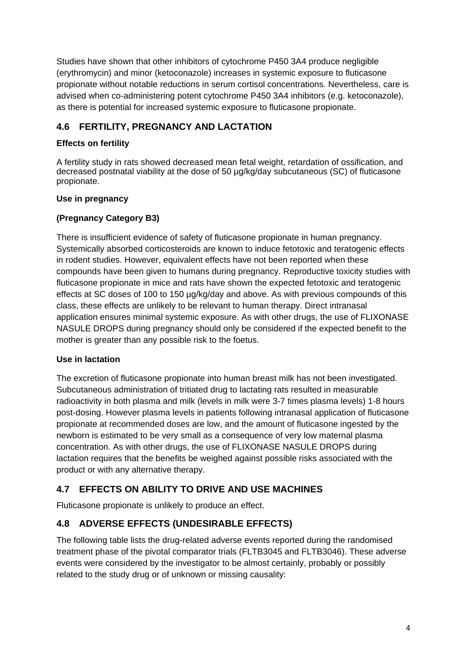Studies have shown that other inhibitors of cytochrome P450 3A4 produce negligible (erythromycin) and minor (ketoconazole) increases in systemic exposure to fluticasone propionate without notable reductions in serum cortisol concentrations. Nevertheless, care is advised when co-administering potent cytochrome P450 3A4 inhibitors (e.g. ketoconazole), as there is potential for increased systemic exposure to fluticasone propionate.

### **4.6 FERTILITY, PREGNANCY AND LACTATION**

#### **Effects on fertility**

A fertility study in rats showed decreased mean fetal weight, retardation of ossification, and decreased postnatal viability at the dose of 50 µg/kg/day subcutaneous (SC) of fluticasone propionate.

#### **Use in pregnancy**

#### **(Pregnancy Category B3)**

There is insufficient evidence of safety of fluticasone propionate in human pregnancy. Systemically absorbed corticosteroids are known to induce fetotoxic and teratogenic effects in rodent studies. However, equivalent effects have not been reported when these compounds have been given to humans during pregnancy. Reproductive toxicity studies with fluticasone propionate in mice and rats have shown the expected fetotoxic and teratogenic effects at SC doses of 100 to 150 µg/kg/day and above. As with previous compounds of this class, these effects are unlikely to be relevant to human therapy. Direct intranasal application ensures minimal systemic exposure. As with other drugs, the use of FLIXONASE NASULE DROPS during pregnancy should only be considered if the expected benefit to the mother is greater than any possible risk to the foetus.

#### **Use in lactation**

The excretion of fluticasone propionate into human breast milk has not been investigated. Subcutaneous administration of tritiated drug to lactating rats resulted in measurable radioactivity in both plasma and milk (levels in milk were 3-7 times plasma levels) 1-8 hours post-dosing. However plasma levels in patients following intranasal application of fluticasone propionate at recommended doses are low, and the amount of fluticasone ingested by the newborn is estimated to be very small as a consequence of very low maternal plasma concentration. As with other drugs, the use of FLIXONASE NASULE DROPS during lactation requires that the benefits be weighed against possible risks associated with the product or with any alternative therapy.

### **4.7 EFFECTS ON ABILITY TO DRIVE AND USE MACHINES**

Fluticasone propionate is unlikely to produce an effect.

## **4.8 ADVERSE EFFECTS (UNDESIRABLE EFFECTS)**

The following table lists the drug-related adverse events reported during the randomised treatment phase of the pivotal comparator trials (FLTB3045 and FLTB3046). These adverse events were considered by the investigator to be almost certainly, probably or possibly related to the study drug or of unknown or missing causality: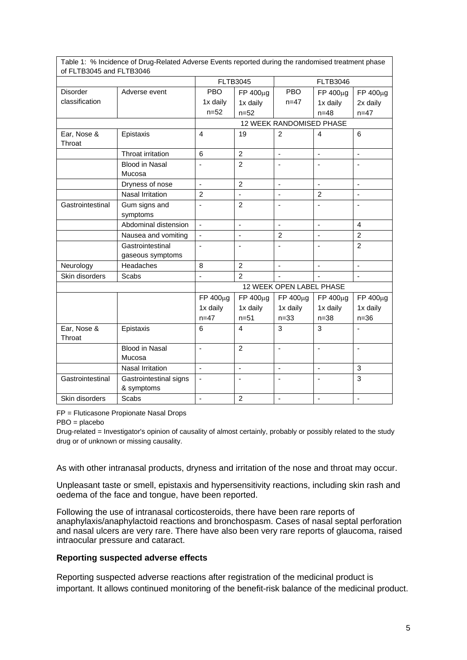| of FLTB3045 and FLTB3046 | i able 1.  % incluence of Drug-Related Adverse Events reported during the randomised treatment phase |                          |                |                              |                          |                          |
|--------------------------|------------------------------------------------------------------------------------------------------|--------------------------|----------------|------------------------------|--------------------------|--------------------------|
|                          |                                                                                                      | <b>FLTB3045</b>          |                | <b>FLTB3046</b>              |                          |                          |
| <b>Disorder</b>          | Adverse event                                                                                        | <b>PBO</b>               | FP 400µg       | <b>PBO</b>                   | FP 400µg                 | FP 400µg                 |
| classification           |                                                                                                      | 1x daily                 | 1x daily       | $n = 47$                     | 1x daily                 | 2x daily                 |
|                          |                                                                                                      | $n = 52$                 | $n = 52$       |                              | $n = 48$                 | $n = 47$                 |
|                          |                                                                                                      | 12 WEEK RANDOMISED PHASE |                |                              |                          |                          |
| Ear, Nose &<br>Throat    | Epistaxis                                                                                            | 4                        | 19             | $\overline{2}$               | 4                        | 6                        |
|                          | Throat irritation                                                                                    | 6                        | $\overline{2}$ | $\blacksquare$               | $\overline{\phantom{a}}$ | $\overline{\phantom{a}}$ |
|                          | <b>Blood in Nasal</b><br>Mucosa                                                                      | ä,                       | $\overline{2}$ | ÷,                           | ÷,                       | ä,                       |
|                          | Dryness of nose                                                                                      | $\overline{a}$           | $\overline{2}$ | l,                           | $\overline{a}$           |                          |
|                          | Nasal Irritation                                                                                     | $\overline{2}$           |                | ÷,                           | $\overline{2}$           | ÷                        |
| Gastrointestinal         | Gum signs and<br>symptoms                                                                            | $\blacksquare$           | 2              | $\qquad \qquad \blacksquare$ | ÷,                       | ٠                        |
|                          | Abdominal distension                                                                                 | $\overline{a}$           | $\Box$         | ÷,                           | ä,                       | 4                        |
|                          | Nausea and vomiting                                                                                  | $\blacksquare$           | $\blacksquare$ | $\overline{2}$               | L,                       | $\overline{2}$           |
|                          | Gastrointestinal<br>gaseous symptoms                                                                 | $\blacksquare$           | $\blacksquare$ | $\blacksquare$               | ÷,                       | $\overline{2}$           |
| Neurology                | Headaches                                                                                            | 8                        | $\overline{2}$ | $\overline{a}$               | ÷,                       | ä,                       |
| Skin disorders           | Scabs                                                                                                |                          | 2              |                              |                          |                          |
|                          | 12 WEEK OPEN LABEL PHASE                                                                             |                          |                |                              |                          |                          |
|                          |                                                                                                      | FP 400µg                 | FP 400µg       | FP 400µg                     | FP 400µg                 | FP 400µg                 |
|                          |                                                                                                      | 1x daily                 | 1x daily       | 1x daily                     | 1x daily                 | 1x daily                 |
|                          |                                                                                                      | $n = 47$                 | $n = 51$       | $n = 33$                     | $n = 38$                 | $n = 36$                 |
| Ear, Nose &<br>Throat    | Epistaxis                                                                                            | 6                        | $\overline{4}$ | 3                            | 3                        |                          |
|                          | <b>Blood in Nasal</b><br>Mucosa                                                                      | $\overline{a}$           | $\overline{2}$ | ä,                           | ä,                       |                          |
|                          | <b>Nasal Irritation</b>                                                                              | $\blacksquare$           | $\blacksquare$ | $\blacksquare$               | $\blacksquare$           | 3                        |
| Gastrointestinal         | Gastrointestinal signs<br>& symptoms                                                                 | $\blacksquare$           |                |                              |                          | 3                        |
| Skin disorders           | Scabs                                                                                                | $\blacksquare$           | $\overline{2}$ | ÷,                           | ÷,                       | $\blacksquare$           |

Table 1: % Incidence of Drug-Related Adverse Events reported during the randomised treatment phase

FP = Fluticasone Propionate Nasal Drops

PBO = placebo

Drug-related = Investigator's opinion of causality of almost certainly, probably or possibly related to the study drug or of unknown or missing causality.

As with other intranasal products, dryness and irritation of the nose and throat may occur.

Unpleasant taste or smell, epistaxis and hypersensitivity reactions, including skin rash and oedema of the face and tongue, have been reported.

Following the use of intranasal corticosteroids, there have been rare reports of anaphylaxis/anaphylactoid reactions and bronchospasm. Cases of nasal septal perforation and nasal ulcers are very rare. There have also been very rare reports of glaucoma, raised intraocular pressure and cataract.

#### **Reporting suspected adverse effects**

Reporting suspected adverse reactions after registration of the medicinal product is important. It allows continued monitoring of the benefit-risk balance of the medicinal product.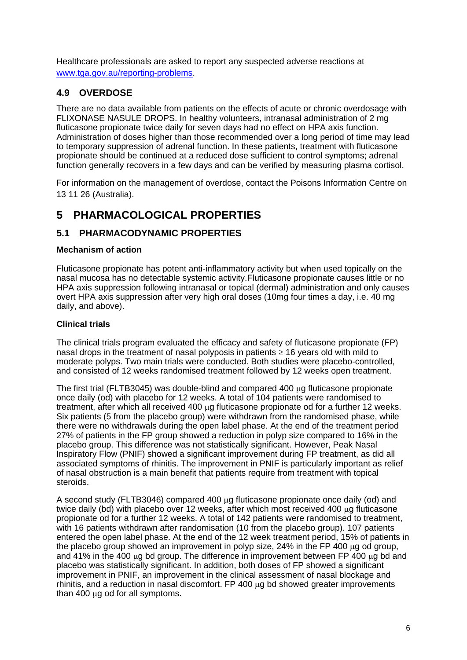Healthcare professionals are asked to report any suspected adverse reactions at www.tga.gov.au/reporting-problems.

### **4.9 OVERDOSE**

There are no data available from patients on the effects of acute or chronic overdosage with FLIXONASE NASULE DROPS. In healthy volunteers, intranasal administration of 2 mg fluticasone propionate twice daily for seven days had no effect on HPA axis function. Administration of doses higher than those recommended over a long period of time may lead to temporary suppression of adrenal function. In these patients, treatment with fluticasone propionate should be continued at a reduced dose sufficient to control symptoms; adrenal function generally recovers in a few days and can be verified by measuring plasma cortisol.

For information on the management of overdose, contact the Poisons Information Centre on 13 11 26 (Australia).

# **5 PHARMACOLOGICAL PROPERTIES**

### **5.1 PHARMACODYNAMIC PROPERTIES**

#### **Mechanism of action**

Fluticasone propionate has potent anti-inflammatory activity but when used topically on the nasal mucosa has no detectable systemic activity.Fluticasone propionate causes little or no HPA axis suppression following intranasal or topical (dermal) administration and only causes overt HPA axis suppression after very high oral doses (10mg four times a day, i.e. 40 mg daily, and above).

#### **Clinical trials**

The clinical trials program evaluated the efficacy and safety of fluticasone propionate (FP) nasal drops in the treatment of nasal polyposis in patients  $\geq 16$  years old with mild to moderate polyps. Two main trials were conducted. Both studies were placebo-controlled, and consisted of 12 weeks randomised treatment followed by 12 weeks open treatment.

The first trial ( $FLTB3045$ ) was double-blind and compared 400  $\mu$ g fluticasone propionate once daily (od) with placebo for 12 weeks. A total of 104 patients were randomised to treatment, after which all received 400  $\mu$ g fluticasone propionate od for a further 12 weeks. Six patients (5 from the placebo group) were withdrawn from the randomised phase, while there were no withdrawals during the open label phase. At the end of the treatment period 27% of patients in the FP group showed a reduction in polyp size compared to 16% in the placebo group. This difference was not statistically significant. However, Peak Nasal Inspiratory Flow (PNIF) showed a significant improvement during FP treatment, as did all associated symptoms of rhinitis. The improvement in PNIF is particularly important as relief of nasal obstruction is a main benefit that patients require from treatment with topical steroids.

A second study (FLTB3046) compared 400 µg fluticasone propionate once daily (od) and twice daily (bd) with placebo over 12 weeks, after which most received 400  $\mu$ g fluticasone propionate od for a further 12 weeks. A total of 142 patients were randomised to treatment, with 16 patients withdrawn after randomisation (10 from the placebo group). 107 patients entered the open label phase. At the end of the 12 week treatment period, 15% of patients in the placebo group showed an improvement in polyp size,  $24\%$  in the FP 400  $\mu$ g od group, and 41% in the 400  $\mu$ g bd group. The difference in improvement between FP 400  $\mu$ g bd and placebo was statistically significant. In addition, both doses of FP showed a significant improvement in PNIF, an improvement in the clinical assessment of nasal blockage and rhinitis, and a reduction in nasal discomfort. FP 400  $\mu$ g bd showed greater improvements than 400 µg od for all symptoms.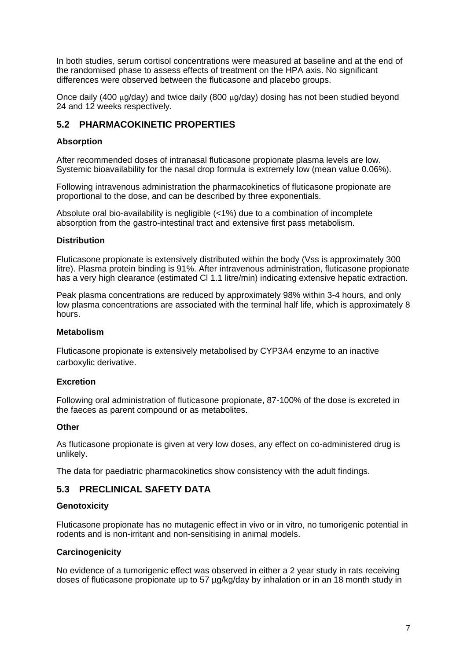In both studies, serum cortisol concentrations were measured at baseline and at the end of the randomised phase to assess effects of treatment on the HPA axis. No significant differences were observed between the fluticasone and placebo groups.

Once daily (400  $\mu q$ /day) and twice daily (800  $\mu q$ /day) dosing has not been studied beyond 24 and 12 weeks respectively.

### **5.2 PHARMACOKINETIC PROPERTIES**

#### **Absorption**

After recommended doses of intranasal fluticasone propionate plasma levels are low. Systemic bioavailability for the nasal drop formula is extremely low (mean value 0.06%).

Following intravenous administration the pharmacokinetics of fluticasone propionate are proportional to the dose, and can be described by three exponentials.

Absolute oral bio-availability is negligible (<1%) due to a combination of incomplete absorption from the gastro-intestinal tract and extensive first pass metabolism.

#### **Distribution**

Fluticasone propionate is extensively distributed within the body (Vss is approximately 300 litre). Plasma protein binding is 91%. After intravenous administration, fluticasone propionate has a very high clearance (estimated Cl 1.1 litre/min) indicating extensive hepatic extraction.

Peak plasma concentrations are reduced by approximately 98% within 3-4 hours, and only low plasma concentrations are associated with the terminal half life, which is approximately 8 hours.

#### **Metabolism**

Fluticasone propionate is extensively metabolised by CYP3A4 enzyme to an inactive carboxylic derivative.

#### **Excretion**

Following oral administration of fluticasone propionate, 87-100% of the dose is excreted in the faeces as parent compound or as metabolites.

#### **Other**

As fluticasone propionate is given at very low doses, any effect on co-administered drug is unlikely.

The data for paediatric pharmacokinetics show consistency with the adult findings.

### **5.3 PRECLINICAL SAFETY DATA**

#### **Genotoxicity**

Fluticasone propionate has no mutagenic effect in vivo or in vitro, no tumorigenic potential in rodents and is non-irritant and non-sensitising in animal models.

#### **Carcinogenicity**

No evidence of a tumorigenic effect was observed in either a 2 year study in rats receiving doses of fluticasone propionate up to 57 µg/kg/day by inhalation or in an 18 month study in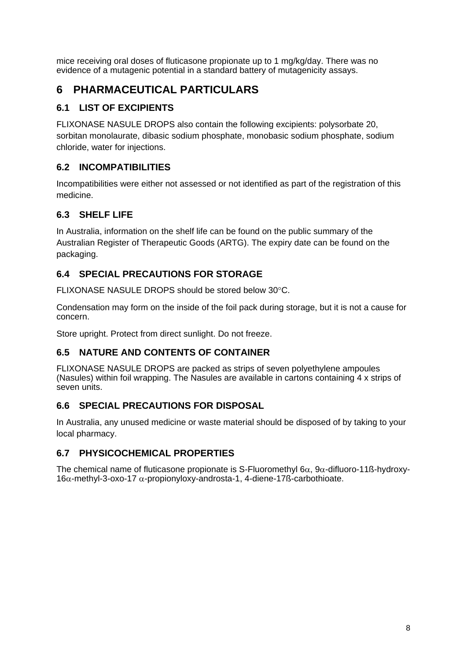mice receiving oral doses of fluticasone propionate up to 1 mg/kg/day. There was no evidence of a mutagenic potential in a standard battery of mutagenicity assays.

# **6 PHARMACEUTICAL PARTICULARS**

## **6.1 LIST OF EXCIPIENTS**

FLIXONASE NASULE DROPS also contain the following excipients: polysorbate 20, sorbitan monolaurate, dibasic sodium phosphate, monobasic sodium phosphate, sodium chloride, water for injections.

## **6.2 INCOMPATIBILITIES**

Incompatibilities were either not assessed or not identified as part of the registration of this medicine.

# **6.3 SHELF LIFE**

In Australia, information on the shelf life can be found on the public summary of the Australian Register of Therapeutic Goods (ARTG). The expiry date can be found on the packaging.

## **6.4 SPECIAL PRECAUTIONS FOR STORAGE**

FLIXONASE NASULE DROPS should be stored below 30°C.

Condensation may form on the inside of the foil pack during storage, but it is not a cause for concern.

Store upright. Protect from direct sunlight. Do not freeze.

## **6.5 NATURE AND CONTENTS OF CONTAINER**

FLIXONASE NASULE DROPS are packed as strips of seven polyethylene ampoules (Nasules) within foil wrapping. The Nasules are available in cartons containing 4 x strips of seven units.

## **6.6 SPECIAL PRECAUTIONS FOR DISPOSAL**

In Australia, any unused medicine or waste material should be disposed of by taking to your local pharmacy.

## **6.7 PHYSICOCHEMICAL PROPERTIES**

The chemical name of fluticasone propionate is S-Fluoromethyl  $6\alpha$ , 9 $\alpha$ -difluoro-11ß-hydroxy- $16\alpha$ -methyl-3-oxo-17  $\alpha$ -propionyloxy-androsta-1, 4-diene-17ß-carbothioate.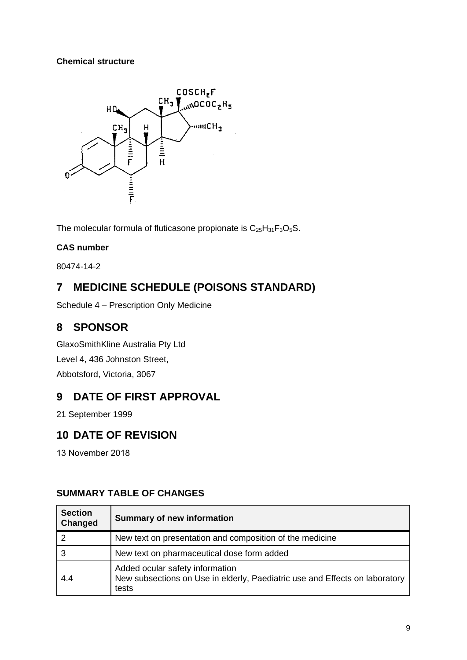### **Chemical structure**



The molecular formula of fluticasone propionate is  $C_{25}H_{31}F_3O_5S$ .

### **CAS number**

80474-14-2

# **7 MEDICINE SCHEDULE (POISONS STANDARD)**

Schedule 4 – Prescription Only Medicine

# **8 SPONSOR**

GlaxoSmithKline Australia Pty Ltd Level 4, 436 Johnston Street, Abbotsford, Victoria, 3067

# **9 DATE OF FIRST APPROVAL**

21 September 1999

# **10 DATE OF REVISION**

13 November 2018

### **SUMMARY TABLE OF CHANGES**

| <b>Section</b><br>Changed | <b>Summary of new information</b>                                                                                       |
|---------------------------|-------------------------------------------------------------------------------------------------------------------------|
| 2                         | New text on presentation and composition of the medicine                                                                |
| 3                         | New text on pharmaceutical dose form added                                                                              |
| 4.4                       | Added ocular safety information<br>New subsections on Use in elderly, Paediatric use and Effects on laboratory<br>tests |